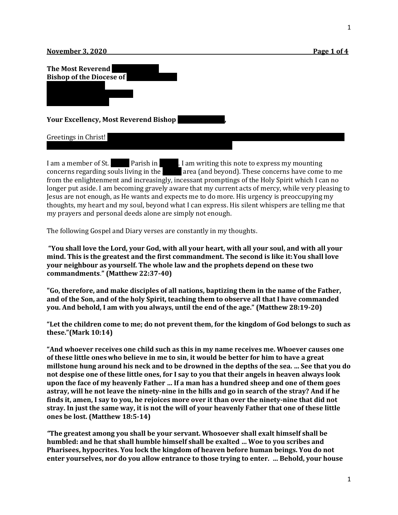## **November 3, 2020 Page 1 of 4**



**Your Excellency, Most Reverend Bishop** 

Greetings in Christ!

I am a member of St. **Parish in Azilda. I am writing this note to express my mounting** concerns regarding souls living in the area (and beyond). These concerns have come to me from the enlightenment and increasingly, incessant promptings of the Holy Spirit which I can no longer put aside. I am becoming gravely aware that my current acts of mercy, while very pleasing to Jesus are not enough, as He wants and expects me to do more. His urgency is preoccupying my thoughts, my heart and my soul, beyond what I can express. His silent whispers are telling me that my prayers and personal deeds alone are simply not enough.

The following Gospel and Diary verses are constantly in my thoughts.

**"You shall love the Lord, your God, with all your heart, with all your soul, and with all your mind. This is the greatest and the first commandment. The second is like it:You shall love your neighbour as yourself. The whole law and the prophets depend on these two commandments**.**" (Matthew 22:37-40)**

**"Go, therefore, and make disciples of all nations, baptizing them in the name of the Father, and of the Son, and of the holy Spirit, teaching them to observe all that I have commanded you. And behold, I am with you always, until the end of the age." (Matthew 28:19-20)**

**"Let the children come to me; do not prevent them, for the kingdom of God belongs to such as these."(Mark 10:14)**

**"And whoever receives one child such as this in my name receives me. Whoever causes one of these little oneswho believe in me to sin, it would be better for him to have a great millstone hung around his neck and to be drowned in the depths of the sea. … See that you do not despise one of these little ones, for I say to you that their angels in heaven always look upon the face of my heavenly Father … If a man has a hundred sheep and one of them goes astray, will he not leave the ninety-nine in the hills and go in search of the stray? And if he finds it, amen, I say to you, he rejoices more over it than over the ninety-nine that did not stray. In just the same way, it is not the will of your heavenly Father that one of these little ones be lost. (Matthew 18:5-14)**

*"***The greatest among you shall be your servant. Whosoever shall exalt himself shall be humbled: and he that shall humble himself shall be exalted … Woe to you scribes and Pharisees, hypocrites. You lock the kingdom of heaven before human beings. You do not enter yourselves, nor do you allow entrance to those trying to enter. … Behold, your house**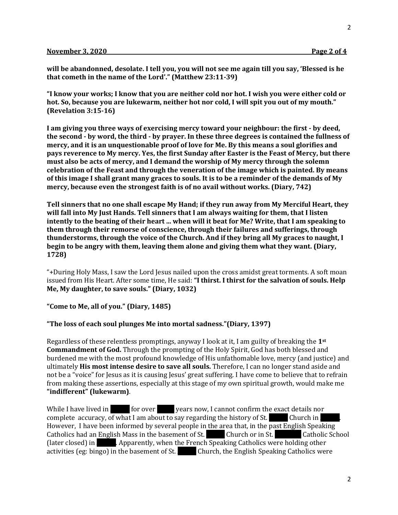**will be abandonned, desolate. I tell you, you will not see me again till you say, 'Blessed is he that cometh in the name of the Lord'." [\(Matthew 23:11-39\)](http://www.drbo.org/cgi-bin/d?b=drb&bk=47&ch=23&l=1-39#x)**

**"I know your works; I know that you are neither cold nor hot. I wish you were either cold or hot. So, because you are lukewarm, neither hot nor cold, I will spit you out of my mouth." (Revelation 3:15-16)**

**I am giving you three ways of exercising mercy toward your neighbour: the first - by deed, the second - by word, the third - by prayer. In these three degrees is contained the fullness of mercy, and it is an unquestionable proof of love for Me. By this means a soul glorifies and pays reverence to My mercy. Yes, the first Sunday after Easter is the Feast of Mercy, but there must also be acts of mercy, and I demand the worship of My mercy through the solemn celebration of the Feast and through the veneration of the image which is painted. By means of this image I shall grant many graces to souls. It is to be a reminder of the demands of My mercy, because even the strongest faith is of no avail without works. (Diary, 742)**

**Tell sinners that no one shall escape My Hand; if they run away from My Merciful Heart, they will fall into My Just Hands. Tell sinners that I am always waiting for them, that I listen intently to the beating of their heart ... when will it beat for Me? Write, that I am speaking to them through their remorse of conscience, through their failures and sufferings, through thunderstorms, through the voice of the Church. And if they bring all My graces to naught, I begin to be angry with them, leaving them alone and giving them what they want. (Diary, 1728)**

"+During Holy Mass, I saw the Lord Jesus nailed upon the cross amidst great torments. A soft moan issued from His Heart. After some time, He said: **"I thirst. I thirst for the salvation of souls. Help Me, My daughter, to save souls." (Diary, 1032)**

## **"Come to Me, all of you." (Diary, 1485)**

## **"The loss of each soul plunges Me into mortal sadness."(Diary, 1397)**

Regardless of these relentless promptings, anyway I look at it, I am guilty of breaking the **1st Commandment of God.** Through the prompting of the Holy Spirit, God has both blessed and burdened me with the most profound knowledge of His unfathomable love, mercy (and justice) and ultimately **His most intense desire to save all souls.** Therefore, I can no longer stand aside and not be a "voice" for Jesus as it is causing Jesus' great suffering. I have come to believe that to refrain from making these assertions, especially at this stage of my own spiritual growth, would make me **"indifferent" (lukewarm)**.

While I have lived in  $\qquad$  for over vears now, I cannot confirm the exact details nor complete accuracy, of what I am about to say regarding the history of St. Church in However, I have been informed by several people in the area that, in the past English Speaking Catholics had an English Mass in the basement of St. Church or in St. Catholic School (later closed) in **Apparently, when the French Speaking Catholics were holding other** activities (eg: bingo) in the basement of St. Church, the English Speaking Catholics were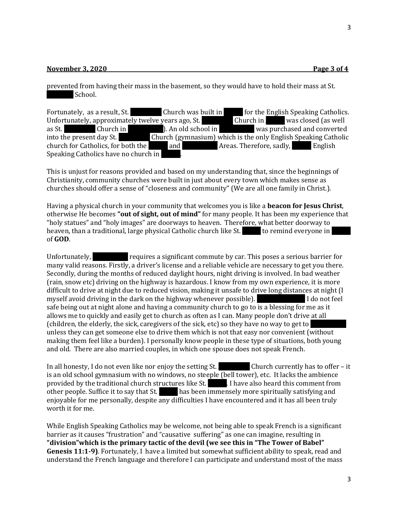## **November 3, 2020 Page 3 of 4**

prevented from having their mass in the basement, so they would have to hold their mass at St. School.

Fortunately, as a result, St. **Alternative Church was built in**  $\blacksquare$  for the English Speaking Catholics. Unfortunately, approximately twelve years ago, St. **Church in Church in** was closed (as well Unfortunately, approximately twelve years ago, St. Church in as St. Church in Church in Church in Chelmsford Chelmsford in Chelmsford was purchased and converted into the present day St. Church (gymnasium) which is the only English Speaking Catholic church for Catholics, for both the Azilda and Areas. Therefore, sadly, Azilda English Speaking Catholics have no church in

This is unjust for reasons provided and based on my understanding that, since the beginnings of Christianity, community churches were built in just about every town which makes sense as churches should offer a sense of "closeness and community" (We are all one family in Christ.).

Having a physical church in your community that welcomes you is like a **beacon for Jesus Christ**, otherwise He becomes **"out of sight, out of mind"** for many people. It has been my experience that "holy statues" and "holy images" are doorways to heaven. Therefore, what better doorway to heaven, than a traditional, large physical Catholic church like St.  $\blacksquare$  to remind everyone in of **GOD**.

Unfortunately, The requires a significant commute by car. This poses a serious barrier for many valid reasons. Firstly, a driver's license and a reliable vehicle are necessary to get you there. Secondly, during the months of reduced daylight hours, night driving is involved. In bad weather (rain, snow etc) driving on the highway is hazardous. I know from my own experience, it is more difficult to drive at night due to reduced vision, making it unsafe to drive long distances at night (I myself avoid driving in the dark on the highway whenever possible).  $\blacksquare$  I do not feel safe being out at night alone and having a community church to go to is a blessing for me as it allows me to quickly and easily get to church as often as I can. Many people don't drive at all (children, the elderly, the sick, caregivers of the sick, etc) so they have no way to get to unless they can get someone else to drive them which is not that easy nor convenient (without making them feel like a burden). I personally know people in these type of situations, both young and old. There are also married couples, in which one spouse does not speak French.

In all honesty, I do not even like nor enjoy the setting St.  $\blacksquare$  Church currently has to offer – it is an old school gymnasium with no windows, no steeple (bell tower), etc. It lacks the ambience provided by the traditional church structures like St.  $\blacksquare$  . I have also heard this comment from other people. Suffice it to say that St. Agnes has been immensely more spiritually satisfying and enjoyable for me personally, despite any difficulties I have encountered and it has all been truly worth it for me.

While English Speaking Catholics may be welcome, not being able to speak French is a significant barrier as it causes "frustration" and "causative suffering" as one can imagine, resulting in **"division"which is the primary tactic of the devil (we see this in "The Tower of Babel" Genesis 11:1-9)**. Fortunately, I have a limited but somewhat sufficient ability to speak, read and understand the French language and therefore I can participate and understand most of the mass